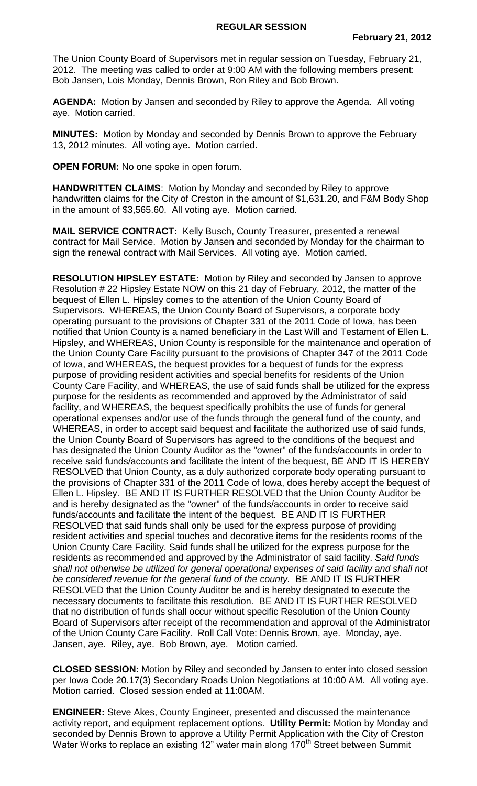The Union County Board of Supervisors met in regular session on Tuesday, February 21, 2012. The meeting was called to order at 9:00 AM with the following members present: Bob Jansen, Lois Monday, Dennis Brown, Ron Riley and Bob Brown.

**AGENDA:** Motion by Jansen and seconded by Riley to approve the Agenda. All voting aye. Motion carried.

**MINUTES:** Motion by Monday and seconded by Dennis Brown to approve the February 13, 2012 minutes. All voting aye. Motion carried.

**OPEN FORUM:** No one spoke in open forum.

**HANDWRITTEN CLAIMS**: Motion by Monday and seconded by Riley to approve handwritten claims for the City of Creston in the amount of \$1,631.20, and F&M Body Shop in the amount of \$3,565.60. All voting aye. Motion carried.

**MAIL SERVICE CONTRACT:** Kelly Busch, County Treasurer, presented a renewal contract for Mail Service. Motion by Jansen and seconded by Monday for the chairman to sign the renewal contract with Mail Services. All voting aye. Motion carried.

**RESOLUTION HIPSLEY ESTATE:** Motion by Riley and seconded by Jansen to approve Resolution # 22 Hipsley Estate NOW on this 21 day of February, 2012, the matter of the bequest of Ellen L. Hipsley comes to the attention of the Union County Board of Supervisors. WHEREAS, the Union County Board of Supervisors, a corporate body operating pursuant to the provisions of Chapter 331 of the 2011 Code of Iowa, has been notified that Union County is a named beneficiary in the Last Will and Testament of Ellen L. Hipsley, and WHEREAS, Union County is responsible for the maintenance and operation of the Union County Care Facility pursuant to the provisions of Chapter 347 of the 2011 Code of Iowa, and WHEREAS, the bequest provides for a bequest of funds for the express purpose of providing resident activities and special benefits for residents of the Union County Care Facility, and WHEREAS, the use of said funds shall be utilized for the express purpose for the residents as recommended and approved by the Administrator of said facility, and WHEREAS, the bequest specifically prohibits the use of funds for general operational expenses and/or use of the funds through the general fund of the county, and WHEREAS, in order to accept said bequest and facilitate the authorized use of said funds, the Union County Board of Supervisors has agreed to the conditions of the bequest and has designated the Union County Auditor as the "owner" of the funds/accounts in order to receive said funds/accounts and facilitate the intent of the bequest, BE AND IT IS HEREBY RESOLVED that Union County, as a duly authorized corporate body operating pursuant to the provisions of Chapter 331 of the 2011 Code of Iowa, does hereby accept the bequest of Ellen L. Hipsley. BE AND IT IS FURTHER RESOLVED that the Union County Auditor be and is hereby designated as the "owner" of the funds/accounts in order to receive said funds/accounts and facilitate the intent of the bequest. BE AND IT IS FURTHER RESOLVED that said funds shall only be used for the express purpose of providing resident activities and special touches and decorative items for the residents rooms of the Union County Care Facility. Said funds shall be utilized for the express purpose for the residents as recommended and approved by the Administrator of said facility. *Said funds shall not otherwise be utilized for general operational expenses of said facility and shall not be considered revenue for the general fund of the county.* BE AND IT IS FURTHER RESOLVED that the Union County Auditor be and is hereby designated to execute the necessary documents to facilitate this resolution. BE AND IT IS FURTHER RESOLVED that no distribution of funds shall occur without specific Resolution of the Union County Board of Supervisors after receipt of the recommendation and approval of the Administrator of the Union County Care Facility. Roll Call Vote: Dennis Brown, aye. Monday, aye. Jansen, aye. Riley, aye. Bob Brown, aye. Motion carried.

**CLOSED SESSION:** Motion by Riley and seconded by Jansen to enter into closed session per Iowa Code 20.17(3) Secondary Roads Union Negotiations at 10:00 AM. All voting aye. Motion carried. Closed session ended at 11:00AM.

**ENGINEER:** Steve Akes, County Engineer, presented and discussed the maintenance activity report, and equipment replacement options. **Utility Permit:** Motion by Monday and seconded by Dennis Brown to approve a Utility Permit Application with the City of Creston Water Works to replace an existing 12" water main along 170<sup>th</sup> Street between Summit